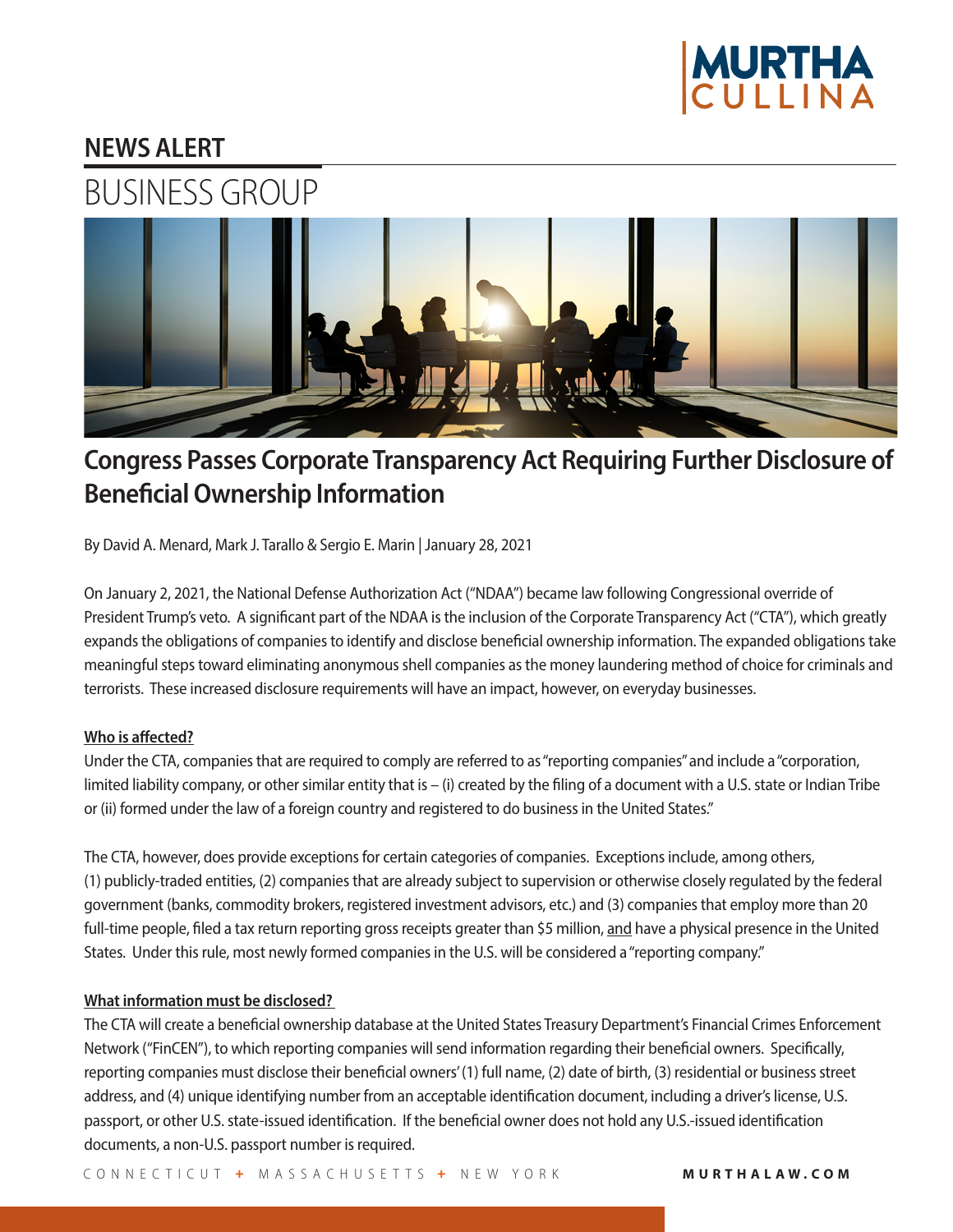

## **NEWS ALERT**



# **Congress Passes Corporate Transparency Act Requiring Further Disclosure of Beneficial Ownership Information**

By David A. Menard, Mark J. Tarallo & Sergio E. Marin | January 28, 2021

On January 2, 2021, the National Defense Authorization Act ("NDAA") became law following Congressional override of President Trump's veto. A significant part of the NDAA is the inclusion of the Corporate Transparency Act ("CTA"), which greatly expands the obligations of companies to identify and disclose beneficial ownership information. The expanded obligations take meaningful steps toward eliminating anonymous shell companies as the money laundering method of choice for criminals and terrorists. These increased disclosure requirements will have an impact, however, on everyday businesses.

## **Who is affected?**

Under the CTA, companies that are required to comply are referred to as "reporting companies" and include a "corporation, limited liability company, or other similar entity that is – (i) created by the filing of a document with a U.S. state or Indian Tribe or (ii) formed under the law of a foreign country and registered to do business in the United States."

The CTA, however, does provide exceptions for certain categories of companies. Exceptions include, among others, (1) publicly-traded entities, (2) companies that are already subject to supervision or otherwise closely regulated by the federal government (banks, commodity brokers, registered investment advisors, etc.) and (3) companies that employ more than 20 full-time people, filed a tax return reporting gross receipts greater than \$5 million, and have a physical presence in the United States. Under this rule, most newly formed companies in the U.S. will be considered a "reporting company."

## **What information must be disclosed?**

The CTA will create a beneficial ownership database at the United States Treasury Department's Financial Crimes Enforcement Network ("FinCEN"), to which reporting companies will send information regarding their beneficial owners. Specifically, reporting companies must disclose their beneficial owners' (1) full name, (2) date of birth, (3) residential or business street address, and (4) unique identifying number from an acceptable identification document, including a driver's license, U.S. passport, or other U.S. state-issued identification. If the beneficial owner does not hold any U.S.-issued identification documents, a non-U.S. passport number is required.